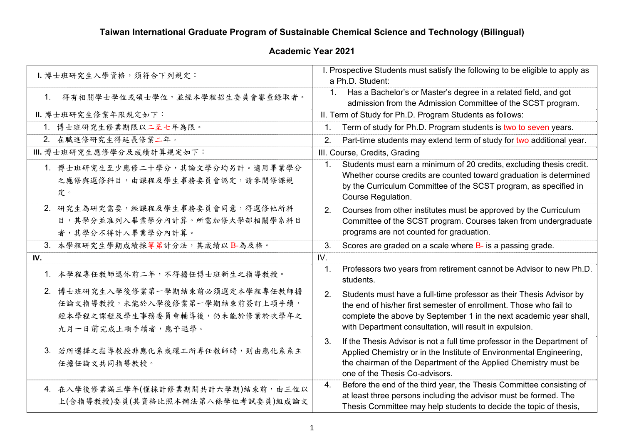## **Taiwan International Graduate Program of Sustainable Chemical Science and Technology (Bilingual)**

## **Academic Year 2021**

| I. 博士班研究生入學資格, 須符合下列規定:                                                                                                     | I. Prospective Students must satisfy the following to be eligible to apply as<br>a Ph.D. Student:                                                                                                                                                                                |
|-----------------------------------------------------------------------------------------------------------------------------|----------------------------------------------------------------------------------------------------------------------------------------------------------------------------------------------------------------------------------------------------------------------------------|
|                                                                                                                             |                                                                                                                                                                                                                                                                                  |
| 得有相關學士學位或碩士學位,並經本學程招生委員會審查錄取者。<br>$1_{-}$                                                                                   | Has a Bachelor's or Master's degree in a related field, and got<br>1.<br>admission from the Admission Committee of the SCST program.                                                                                                                                             |
| Ⅱ. 博士班研究生修業年限規定如下:                                                                                                          | II. Term of Study for Ph.D. Program Students as follows:                                                                                                                                                                                                                         |
| 1. 博士班研究生修業期限以二至七年為限。                                                                                                       | Term of study for Ph.D. Program students is two to seven years.<br>$\mathbf{1}$ .                                                                                                                                                                                                |
| 2. 在職進修研究生得延長修業二年。                                                                                                          | Part-time students may extend term of study for two additional year.<br>2.                                                                                                                                                                                                       |
| Ⅲ. 博士班研究生應修學分及成績計算規定如下:                                                                                                     | III. Course, Credits, Grading                                                                                                                                                                                                                                                    |
| 1. 博士班研究生至少應修二十學分,其論文學分均另計。適用畢業學分<br>之應修與選修科目,由課程及學生事務委員會認定,請參閱修課規<br>定。                                                    | Students must earn a minimum of 20 credits, excluding thesis credit.<br>1.<br>Whether course credits are counted toward graduation is determined<br>by the Curriculum Committee of the SCST program, as specified in<br>Course Regulation.                                       |
| 2. 研究生為研究需要,經課程及學生事務委員會同意,得選修他所科<br>目,其學分並准列入畢業學分內計算。所需加修大學部相關學系科目<br>者,其學分不得計入畢業學分內計算。                                     | Courses from other institutes must be approved by the Curriculum<br>2.<br>Committee of the SCST program. Courses taken from undergraduate<br>programs are not counted for graduation.                                                                                            |
| 3. 本學程研究生學期成績採等第計分法,其成績以B-為及格。                                                                                              | 3.<br>Scores are graded on a scale where B- is a passing grade.                                                                                                                                                                                                                  |
| IV.                                                                                                                         | IV.                                                                                                                                                                                                                                                                              |
| 1. 本學程專任教師退休前二年,不得擔任博士班新生之指導教授。                                                                                             | Professors two years from retirement cannot be Advisor to new Ph.D.<br>1.<br>students.                                                                                                                                                                                           |
| 2. 博士班研究生入學後修業第一學期結束前必須選定本學程專任教師擔<br>任論文指導教授,未能於入學後修業第一學期結束前簽訂上項手續,<br>經本學程之課程及學生事務委員會輔導後,仍未能於修業於次學年之<br>九月一日前完成上項手續者,應予退學。 | Students must have a full-time professor as their Thesis Advisor by<br>2.<br>the end of his/her first semester of enrollment. Those who fail to<br>complete the above by September 1 in the next academic year shall,<br>with Department consultation, will result in expulsion. |
| 3. 若所選擇之指導教授非應化系或環工所專任教師時,則由應化系系主<br>任擔任論文共同指導教授。                                                                           | If the Thesis Advisor is not a full time professor in the Department of<br>3.<br>Applied Chemistry or in the Institute of Environmental Engineering,<br>the chairman of the Department of the Applied Chemistry must be<br>one of the Thesis Co-advisors.                        |
| 4. 在入學後修業滿三學年(僅採計修業期間共計六學期)結束前,由三位以<br>上(含指導教授)委員(其資格比照本辦法第八條學位考試委員)組成論文                                                    | Before the end of the third year, the Thesis Committee consisting of<br>4.<br>at least three persons including the advisor must be formed. The<br>Thesis Committee may help students to decide the topic of thesis,                                                              |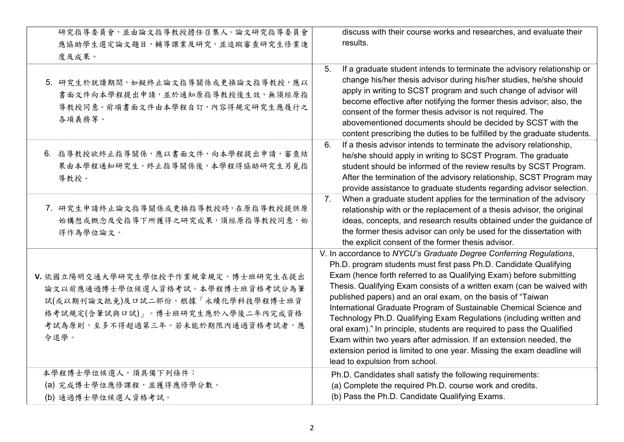| 研究指導委員會,並由論文指導教授擔任召集人。論文研究指導委員會<br>應協助學生選定論文題目,輔導課業及研究,並追蹤審查研究生修業進<br>度及成果。                                                                                                                    | discuss with their course works and researches, and evaluate their<br>results.                                                                                                                                                                                                                                                                                                                                                                                                                                                                                                                                                                                                                                                                                    |
|------------------------------------------------------------------------------------------------------------------------------------------------------------------------------------------------|-------------------------------------------------------------------------------------------------------------------------------------------------------------------------------------------------------------------------------------------------------------------------------------------------------------------------------------------------------------------------------------------------------------------------------------------------------------------------------------------------------------------------------------------------------------------------------------------------------------------------------------------------------------------------------------------------------------------------------------------------------------------|
| 5. 研究生於就讀期間,如擬終止論文指導關係或更換論文指導教授,應以<br>書面文件向本學程提出申請,並於通知原指導教授後生效,無須經原指<br>導教授同意。前項書面文件由本學程自訂,內容得規定研究生應履行之<br>各項義務等。                                                                             | 5.<br>If a graduate student intends to terminate the advisory relationship or<br>change his/her thesis advisor during his/her studies, he/she should<br>apply in writing to SCST program and such change of advisor will<br>become effective after notifying the former thesis advisor; also, the<br>consent of the former thesis advisor is not required. The<br>abovementioned documents should be decided by SCST with the<br>content prescribing the duties to be fulfilled by the graduate students.                                                                                                                                                                                                                                                         |
| 6. 指導教授欲終止指導關係,應以書面文件,向本學程提出申請,審查結<br>果由本學程通知研究生。終止指導關係後,本學程得協助研究生另覓指<br>導教授。                                                                                                                  | If a thesis advisor intends to terminate the advisory relationship,<br>6.<br>he/she should apply in writing to SCST Program. The graduate<br>student should be informed of the review results by SCST Program.<br>After the termination of the advisory relationship, SCST Program may<br>provide assistance to graduate students regarding advisor selection.                                                                                                                                                                                                                                                                                                                                                                                                    |
| 7. 研究生申請終止論文指導關係或更換指導教授時,在原指導教授提供原<br>始構想或概念及受指導下所獲得之研究成果,須經原指導教授同意,始<br>得作為學位論文。                                                                                                              | When a graduate student applies for the termination of the advisory<br>7.<br>relationship with or the replacement of a thesis advisor, the original<br>ideas, concepts, and research results obtained under the guidance of<br>the former thesis advisor can only be used for the dissertation with<br>the explicit consent of the former thesis advisor.                                                                                                                                                                                                                                                                                                                                                                                                         |
| V. 依國立陽明交通大學研究生學位授予作業規章規定, 博士班研究生在提出<br>論文以前應通過博士學位候選人資格考試。本學程博士班資格考試分為筆<br>試(或以期刊論文抵免)及口試二部份。根據「永續化學科技學程博士班資<br>格考試規定(含筆試與口試)」。博士班研究生應於入學後二年內完成資格<br>考試為原則,至多不得超過第三年。若未能於期限內通過資格考試者,應<br>令退學。 | V. In accordance to NYCU's Graduate Degree Conferring Regulations,<br>Ph.D. program students must first pass Ph.D. Candidate Qualifying<br>Exam (hence forth referred to as Qualifying Exam) before submitting<br>Thesis. Qualifying Exam consists of a written exam (can be waived with<br>published papers) and an oral exam, on the basis of "Taiwan<br>International Graduate Program of Sustainable Chemical Science and<br>Technology Ph.D. Qualifying Exam Regulations (including written and<br>oral exam)." In principle, students are required to pass the Qualified<br>Exam within two years after admission. If an extension needed, the<br>extension period is limited to one year. Missing the exam deadline will<br>lead to expulsion from school. |
| 本學程博士學位候選人,須具備下列條件:<br>(a) 完成博士學位應修課程,並獲得應修學分數。<br>(b) 通過博士學位候選人資格考試。                                                                                                                          | Ph.D. Candidates shall satisfy the following requirements:<br>(a) Complete the required Ph.D. course work and credits.<br>(b) Pass the Ph.D. Candidate Qualifying Exams.                                                                                                                                                                                                                                                                                                                                                                                                                                                                                                                                                                                          |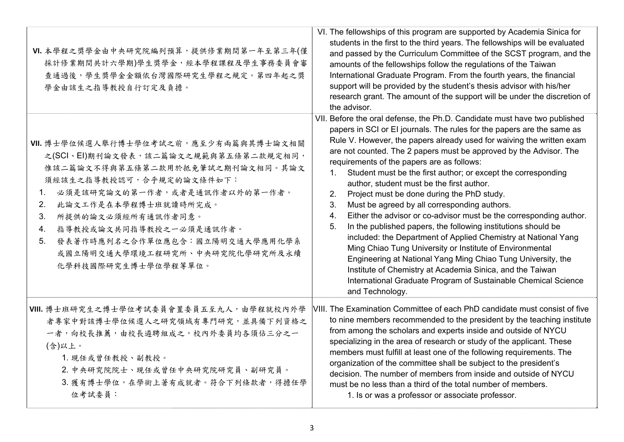| VI. 本學程之獎學金由中央研究院編列預算, 提供修業期間第一年至第三年(僅<br>採計修業期間共計六學期)學生獎學金,經本學程課程及學生事務委員會審<br>查通過後,學生獎學金金額依台灣國際研究生學程之規定。第四年起之獎<br>學金由該生之指導教授自行訂定及負擔。                                                                                                                                                                                                                                            | VI. The fellowships of this program are supported by Academia Sinica for<br>students in the first to the third years. The fellowships will be evaluated<br>and passed by the Curriculum Committee of the SCST program, and the<br>amounts of the fellowships follow the regulations of the Taiwan<br>International Graduate Program. From the fourth years, the financial<br>support will be provided by the student's thesis advisor with his/her<br>research grant. The amount of the support will be under the discretion of<br>the advisor.                                                                                                                                                                                                                                                                                                                                                                                                                                                                                                                                                          |
|----------------------------------------------------------------------------------------------------------------------------------------------------------------------------------------------------------------------------------------------------------------------------------------------------------------------------------------------------------------------------------|----------------------------------------------------------------------------------------------------------------------------------------------------------------------------------------------------------------------------------------------------------------------------------------------------------------------------------------------------------------------------------------------------------------------------------------------------------------------------------------------------------------------------------------------------------------------------------------------------------------------------------------------------------------------------------------------------------------------------------------------------------------------------------------------------------------------------------------------------------------------------------------------------------------------------------------------------------------------------------------------------------------------------------------------------------------------------------------------------------|
| VII. 博士學位候選人舉行博士學位考試之前,應至少有兩篇與其博士論文相關<br>之(SCI、EI)期刊論文發表,該二篇論文之規範與第五條第二款規定相同,<br>惟該二篇論文不得與第五條第二款用於抵免筆試之期刊論文相同。其論文<br>須經該生之指導教授認可,合乎規定的論文條件如下:<br>必須是該研究論文的第一作者,或者是通訊作者以外的第一作者。<br>1.<br>2.<br>此論文工作是在本學程博士班就讀時所完成。<br>3.<br>所提供的論文必須經所有通訊作者同意。<br>指導教授或論文共同指導教授之一必須是通訊作者。<br>4.<br>發表著作時應列名之合作單位應包含:國立陽明交通大學應用化學系<br>5.<br>或國立陽明交通大學環境工程研究所、中央研究院化學研究所及永續<br>化學科技國際研究生博士學位學程等單位。 | VII. Before the oral defense, the Ph.D. Candidate must have two published<br>papers in SCI or EI journals. The rules for the papers are the same as<br>Rule V. However, the papers already used for waiving the written exam<br>are not counted. The 2 papers must be approved by the Advisor. The<br>requirements of the papers are as follows:<br>Student must be the first author; or except the corresponding<br>$1_{\cdot}$<br>author, student must be the first author.<br>2.<br>Project must be done during the PhD study.<br>3.<br>Must be agreed by all corresponding authors.<br>Either the advisor or co-advisor must be the corresponding author.<br>$\overline{4}$ .<br>In the published papers, the following institutions should be<br>5.<br>included: the Department of Applied Chemistry at National Yang<br>Ming Chiao Tung University or Institute of Environmental<br>Engineering at National Yang Ming Chiao Tung University, the<br>Institute of Chemistry at Academia Sinica, and the Taiwan<br>International Graduate Program of Sustainable Chemical Science<br>and Technology. |
| VIII. 博士班研究生之博士學位考試委員會置委員五至九人, 由學程就校內外學<br>者專家中對該博士學位候選人之研究領域有專門研究,並具備下列資格之<br>一者,向校長推薦,由校長遴聘組成之,校內外委員均各須佔三分之一<br>(含)以上。<br>1. 現任或曾任教授、副教授。<br>2. 中央研究院院士、現任或曾任中央研究院研究員、副研究員。<br>3. 獲有博士學位,在學術上著有成就者。符合下列條款者,得擔任學<br>位考試委員:                                                                                                                                                      | VIII. The Examination Committee of each PhD candidate must consist of five<br>to nine members recommended to the president by the teaching institute<br>from among the scholars and experts inside and outside of NYCU<br>specializing in the area of research or study of the applicant. These<br>members must fulfill at least one of the following requirements. The<br>organization of the committee shall be subject to the president's<br>decision. The number of members from inside and outside of NYCU<br>must be no less than a third of the total number of members.<br>1. Is or was a professor or associate professor.                                                                                                                                                                                                                                                                                                                                                                                                                                                                      |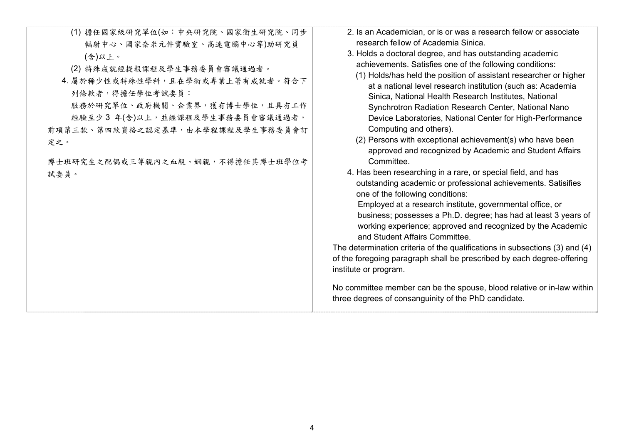| (1) 擔任國家級研究單位(如:中央研究院、國家衛生研究院、同步<br>輻射中心、國家奈米元件實驗室、高速電腦中心等)助研究員<br>(含)以上。<br>(2) 特殊成就經提報課程及學生事務委員會審議通過者。<br>4. 屬於稀少性或特殊性學科,且在學術或專業上著有成就者。符合下<br>列條款者,得擔任學位考試委員:<br>服務於研究單位、政府機關、企業界,獲有博士學位,且具有工作<br>經驗至少3年(含)以上,並經課程及學生事務委員會審議通過者。<br>前項第三款、第四款資格之認定基準,由本學程課程及學生事務委員會訂<br>定之。<br>博士班研究生之配偶或三等親內之血親、姻親,不得擔任其博士班學位考<br>試委員。 | 2. Is an Academician, or is or was a research fellow or associate<br>research fellow of Academia Sinica.<br>3. Holds a doctoral degree, and has outstanding academic<br>achievements. Satisfies one of the following conditions:<br>(1) Holds/has held the position of assistant researcher or higher<br>at a national level research institution (such as: Academia<br>Sinica, National Health Research Institutes, National<br>Synchrotron Radiation Research Center, National Nano<br>Device Laboratories, National Center for High-Performance<br>Computing and others).<br>(2) Persons with exceptional achievement(s) who have been<br>approved and recognized by Academic and Student Affairs<br>Committee.<br>4. Has been researching in a rare, or special field, and has<br>outstanding academic or professional achievements. Satisifies<br>one of the following conditions:<br>Employed at a research institute, governmental office, or<br>business; possesses a Ph.D. degree; has had at least 3 years of<br>working experience; approved and recognized by the Academic<br>and Student Affairs Committee.<br>The determination criteria of the qualifications in subsections (3) and (4)<br>of the foregoing paragraph shall be prescribed by each degree-offering<br>institute or program.<br>No committee member can be the spouse, blood relative or in-law within<br>three degrees of consanguinity of the PhD candidate. |
|---------------------------------------------------------------------------------------------------------------------------------------------------------------------------------------------------------------------------------------------------------------------------------------------------------------------------|----------------------------------------------------------------------------------------------------------------------------------------------------------------------------------------------------------------------------------------------------------------------------------------------------------------------------------------------------------------------------------------------------------------------------------------------------------------------------------------------------------------------------------------------------------------------------------------------------------------------------------------------------------------------------------------------------------------------------------------------------------------------------------------------------------------------------------------------------------------------------------------------------------------------------------------------------------------------------------------------------------------------------------------------------------------------------------------------------------------------------------------------------------------------------------------------------------------------------------------------------------------------------------------------------------------------------------------------------------------------------------------------------------------------------------------------|
|                                                                                                                                                                                                                                                                                                                           |                                                                                                                                                                                                                                                                                                                                                                                                                                                                                                                                                                                                                                                                                                                                                                                                                                                                                                                                                                                                                                                                                                                                                                                                                                                                                                                                                                                                                                              |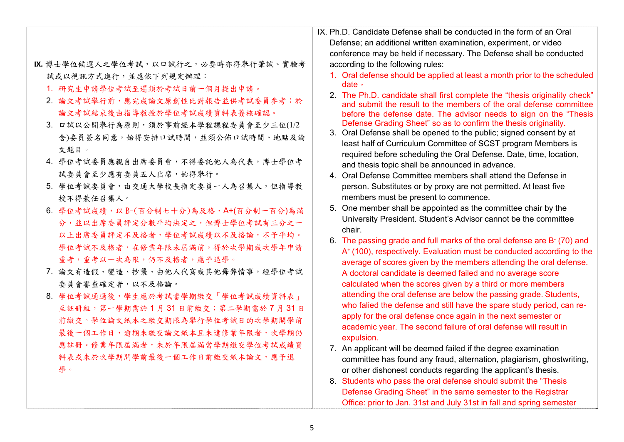|                                        | IX. Ph.D. Candidate Defense shall be conducted in the form of an Oral                                                                            |
|----------------------------------------|--------------------------------------------------------------------------------------------------------------------------------------------------|
|                                        | Defense; an additional written examination, experiment, or video                                                                                 |
|                                        | conference may be held if necessary. The Defense shall be conducted                                                                              |
| IX. 博士學位候選人之學位考試, 以口試行之, 必要時亦得舉行筆試、實驗考 | according to the following rules:                                                                                                                |
| 試或以視訊方式進行,並應依下列規定辦理:                   | 1. Oral defense should be applied at least a month prior to the scheduled                                                                        |
| 1. 研究生申請學位考試至遲須於考試日前一個月提出申請。           | date $\circ$                                                                                                                                     |
| 2. 論文考試舉行前,應完成論文原創性比對報告並供考試委員參考;於      | 2. The Ph.D. candidate shall first complete the "thesis originality check"<br>and submit the result to the members of the oral defense committee |
| 論文考試結束後由指導教授於學位考試成績資料表簽核確認。            | before the defense date. The advisor needs to sign on the "Thesis                                                                                |
| 3. 口試以公開舉行為原則,須於事前經本學程課程委員會至少三位(1/2    | Defense Grading Sheet" so as to confirm the thesis originality.                                                                                  |
| 含)委員簽名同意,始得安排口試時間,並須公佈口試時間、地點及論        | 3. Oral Defense shall be opened to the public; signed consent by at                                                                              |
| 文題目。                                   | least half of Curriculum Committee of SCST program Members is                                                                                    |
| 4. 學位考試委員應親自出席委員會,不得委託他人為代表,博士學位考      | required before scheduling the Oral Defense. Date, time, location,                                                                               |
| 試委員會至少應有委員五人出席,始得舉行。                   | and thesis topic shall be announced in advance.<br>4. Oral Defense Committee members shall attend the Defense in                                 |
| 5. 學位考試委員會,由交通大學校長指定委員一人為召集人,但指導教      | person. Substitutes or by proxy are not permitted. At least five                                                                                 |
| 授不得兼任召集人。                              | members must be present to commence.                                                                                                             |
|                                        | 5. One member shall be appointed as the committee chair by the                                                                                   |
| 6. 學位考試成績,以B-(百分制七十分)為及格,A+(百分制一百分)為滿  | University President. Student's Advisor cannot be the committee                                                                                  |
| 分,並以出席委員評定分數平均決定之,但博士學位考試有三分之一         | chair.                                                                                                                                           |
| 以上出席委員評定不及格者,學位考試成績以不及格論,不予平均。         | 6. The passing grade and full marks of the oral defense are B (70) and                                                                           |
| 學位考試不及格者,在修業年限未屆滿前,得於次學期或次學年申請         | A <sup>+</sup> (100), respectively. Evaluation must be conducted according to the                                                                |
| 重考,重考以一次為限,仍不及格者,應予退學。                 | average of scores given by the members attending the oral defense.                                                                               |
| 7. 論文有造假、變造、抄襲、由他人代寫或其他舞弊情事,經學位考試      | A doctoral candidate is deemed failed and no average score                                                                                       |
| 委員會審查確定者,以不及格論。                        | calculated when the scores given by a third or more members                                                                                      |
| 8. 學位考試通過後,學生應於考試當學期繳交「學位考試成績資料表」      | attending the oral defense are below the passing grade. Students,                                                                                |
| 至註冊組,第一學期需於1月31日前繳交;第二學期需於7月31日        | who falied the defense and still have the spare study period, can re-                                                                            |
| 前繳交。學位論文紙本之繳交期限為舉行學位考試日的次學期開學前         | apply for the oral defense once again in the next semester or                                                                                    |
| 最後一個工作日,逾期未繳交論文紙本且未達修業年限者,次學期仍         | academic year. The second failure of oral defense will result in                                                                                 |
| 應註冊。修業年限屆滿者,未於年限屆滿當學期繳交學位考試成績資         | expulsion.<br>7. An applicant will be deemed failed if the degree examination                                                                    |
| 料表或未於次學期開學前最後一個工作日前繳交紙本論文,應予退          | committee has found any fraud, alternation, plagiarism, ghostwriting,                                                                            |
| 學。                                     | or other dishonest conducts regarding the applicant's thesis.                                                                                    |
|                                        | 8. Students who pass the oral defense should submit the "Thesis"                                                                                 |
|                                        | Defense Grading Sheet" in the same semester to the Registrar                                                                                     |
|                                        |                                                                                                                                                  |

Office: prior to Jan. 31st and July 31st in fall and spring semester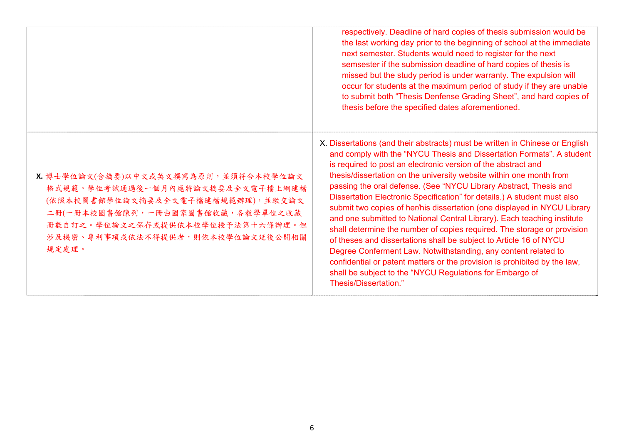|                                                                                                                                                                                                                                    | respectively. Deadline of hard copies of thesis submission would be<br>the last working day prior to the beginning of school at the immediate<br>next semester. Students would need to register for the next<br>semsester if the submission deadline of hard copies of thesis is<br>missed but the study period is under warranty. The expulsion will<br>occur for students at the maximum period of study if they are unable<br>to submit both "Thesis Denfense Grading Sheet", and hard copies of<br>thesis before the specified dates aforementioned.                                                                                                                                                                                                                                                                                                                                                                                                                                   |
|------------------------------------------------------------------------------------------------------------------------------------------------------------------------------------------------------------------------------------|--------------------------------------------------------------------------------------------------------------------------------------------------------------------------------------------------------------------------------------------------------------------------------------------------------------------------------------------------------------------------------------------------------------------------------------------------------------------------------------------------------------------------------------------------------------------------------------------------------------------------------------------------------------------------------------------------------------------------------------------------------------------------------------------------------------------------------------------------------------------------------------------------------------------------------------------------------------------------------------------|
| X. 博士學位論文(含摘要)以中文或英文撰寫為原則,並須符合本校學位論文<br>格式規範。學位考試通過後一個月內應將論文摘要及全文電子檔上網建檔<br>(依照本校圖書館學位論文摘要及全文電子檔建檔規範辦理),並繳交論文<br>二冊(一冊本校圖書館陳列,一冊由國家圖書館收藏,各教學單位之收藏<br>冊數自訂之。學位論文之保存或提供依本校學位授予法第十六條辦理。但<br>涉及機密、專利事項或依法不得提供者,則依本校學位論文延後公開相關<br>規定處理。 | X. Dissertations (and their abstracts) must be written in Chinese or English<br>and comply with the "NYCU Thesis and Dissertation Formats". A student<br>is required to post an electronic version of the abstract and<br>thesis/dissertation on the university website within one month from<br>passing the oral defense. (See "NYCU Library Abstract, Thesis and<br>Dissertation Electronic Specification" for details.) A student must also<br>submit two copies of her/his dissertation (one displayed in NYCU Library<br>and one submitted to National Central Library). Each teaching institute<br>shall determine the number of copies required. The storage or provision<br>of theses and dissertations shall be subject to Article 16 of NYCU<br>Degree Conferment Law. Notwithstanding, any content related to<br>confidential or patent matters or the provision is prohibited by the law,<br>shall be subject to the "NYCU Regulations for Embargo of<br>Thesis/Dissertation." |